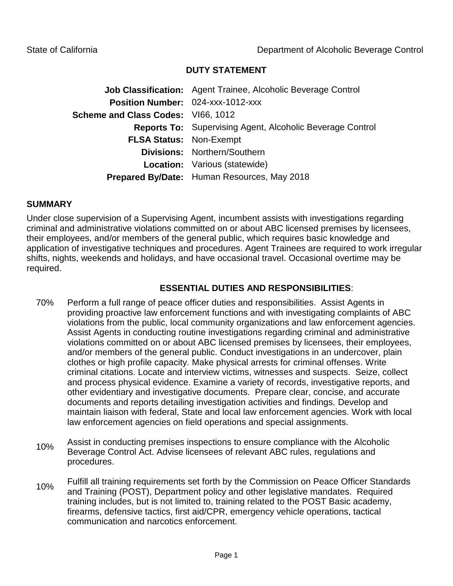## **DUTY STATEMENT**

**Job Classification:** Agent Trainee, Alcoholic Beverage Control **Position Number:** 024-xxx-1012-xxx **Scheme and Class Codes:** VI66, 1012 **Reports To:** Supervising Agent, Alcoholic Beverage Control **FLSA Status:** Non-Exempt **Divisions:** Northern/Southern **Location:** Various (statewide) **Prepared By/Date:** Human Resources, May 2018

### **SUMMARY**

Under close supervision of a Supervising Agent, incumbent assists with investigations regarding criminal and administrative violations committed on or about ABC licensed premises by licensees, their employees, and/or members of the general public, which requires basic knowledge and application of investigative techniques and procedures. Agent Trainees are required to work irregular shifts, nights, weekends and holidays, and have occasional travel. Occasional overtime may be required.

# **ESSENTIAL DUTIES AND RESPONSIBILITIES**:

- 70% Perform a full range of peace officer duties and responsibilities. Assist Agents in providing proactive law enforcement functions and with investigating complaints of ABC violations from the public, local community organizations and law enforcement agencies. Assist Agents in conducting routine investigations regarding criminal and administrative violations committed on or about ABC licensed premises by licensees, their employees, and/or members of the general public. Conduct investigations in an undercover, plain clothes or high profile capacity. Make physical arrests for criminal offenses. Write criminal citations. Locate and interview victims, witnesses and suspects. Seize, collect and process physical evidence. Examine a variety of records, investigative reports, and other evidentiary and investigative documents. Prepare clear, concise, and accurate documents and reports detailing investigation activities and findings. Develop and maintain liaison with federal, State and local law enforcement agencies. Work with local law enforcement agencies on field operations and special assignments.
- 10% Assist in conducting premises inspections to ensure compliance with the Alcoholic Beverage Control Act. Advise licensees of relevant ABC rules, regulations and procedures.
- 10% Fulfill all training requirements set forth by the Commission on Peace Officer Standards and Training (POST), Department policy and other legislative mandates. Required training includes, but is not limited to, training related to the POST Basic academy, firearms, defensive tactics, first aid/CPR, emergency vehicle operations, tactical communication and narcotics enforcement.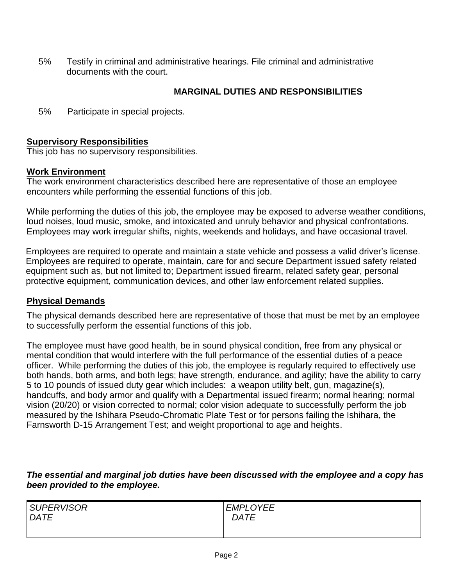5% Testify in criminal and administrative hearings. File criminal and administrative documents with the court.

# **MARGINAL DUTIES AND RESPONSIBILITIES**

5% Participate in special projects.

### **Supervisory Responsibilities**

This job has no supervisory responsibilities.

#### **Work Environment**

The work environment characteristics described here are representative of those an employee encounters while performing the essential functions of this job.

While performing the duties of this job, the employee may be exposed to adverse weather conditions, loud noises, loud music, smoke, and intoxicated and unruly behavior and physical confrontations. Employees may work irregular shifts, nights, weekends and holidays, and have occasional travel.

Employees are required to operate and maintain a state vehicle and possess a valid driver's license. Employees are required to operate, maintain, care for and secure Department issued safety related equipment such as, but not limited to; Department issued firearm, related safety gear, personal protective equipment, communication devices, and other law enforcement related supplies.

### **Physical Demands**

The physical demands described here are representative of those that must be met by an employee to successfully perform the essential functions of this job.

The employee must have good health, be in sound physical condition, free from any physical or mental condition that would interfere with the full performance of the essential duties of a peace officer. While performing the duties of this job, the employee is regularly required to effectively use both hands, both arms, and both legs; have strength, endurance, and agility; have the ability to carry 5 to 10 pounds of issued duty gear which includes: a weapon utility belt, gun, magazine(s), handcuffs, and body armor and qualify with a Departmental issued firearm; normal hearing; normal vision (20/20) or vision corrected to normal; color vision adequate to successfully perform the job measured by the Ishihara Pseudo-Chromatic Plate Test or for persons failing the Ishihara, the Farnsworth D-15 Arrangement Test; and weight proportional to age and heights.

*The essential and marginal job duties have been discussed with the employee and a copy has been provided to the employee.*

| <b>SUPERVISOR</b> | <b>EMPLOYEE</b> |
|-------------------|-----------------|
| DATE              | <b>DATE</b>     |
|                   |                 |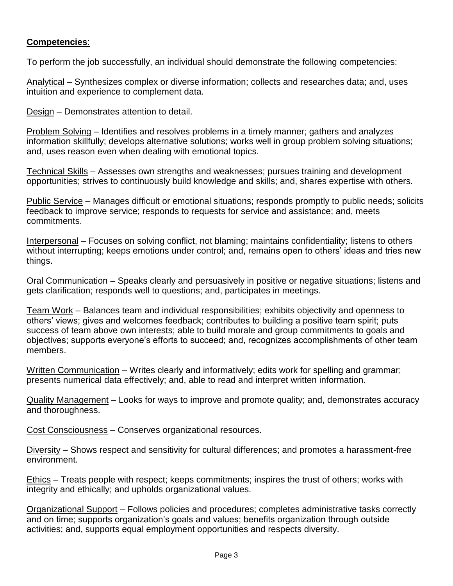## **Competencies**:

To perform the job successfully, an individual should demonstrate the following competencies:

Analytical – Synthesizes complex or diverse information; collects and researches data; and, uses intuition and experience to complement data.

Design – Demonstrates attention to detail.

Problem Solving – Identifies and resolves problems in a timely manner; gathers and analyzes information skillfully; develops alternative solutions; works well in group problem solving situations; and, uses reason even when dealing with emotional topics.

Technical Skills – Assesses own strengths and weaknesses; pursues training and development opportunities; strives to continuously build knowledge and skills; and, shares expertise with others.

Public Service – Manages difficult or emotional situations; responds promptly to public needs; solicits feedback to improve service; responds to requests for service and assistance; and, meets commitments.

Interpersonal – Focuses on solving conflict, not blaming; maintains confidentiality; listens to others without interrupting; keeps emotions under control; and, remains open to others' ideas and tries new things.

Oral Communication – Speaks clearly and persuasively in positive or negative situations; listens and gets clarification; responds well to questions; and, participates in meetings.

Team Work – Balances team and individual responsibilities; exhibits objectivity and openness to others' views; gives and welcomes feedback; contributes to building a positive team spirit; puts success of team above own interests; able to build morale and group commitments to goals and objectives; supports everyone's efforts to succeed; and, recognizes accomplishments of other team members.

Written Communication – Writes clearly and informatively; edits work for spelling and grammar; presents numerical data effectively; and, able to read and interpret written information.

Quality Management – Looks for ways to improve and promote quality; and, demonstrates accuracy and thoroughness.

Cost Consciousness – Conserves organizational resources.

Diversity – Shows respect and sensitivity for cultural differences; and promotes a harassment-free environment.

Ethics – Treats people with respect; keeps commitments; inspires the trust of others; works with integrity and ethically; and upholds organizational values.

Organizational Support – Follows policies and procedures; completes administrative tasks correctly and on time; supports organization's goals and values; benefits organization through outside activities; and, supports equal employment opportunities and respects diversity.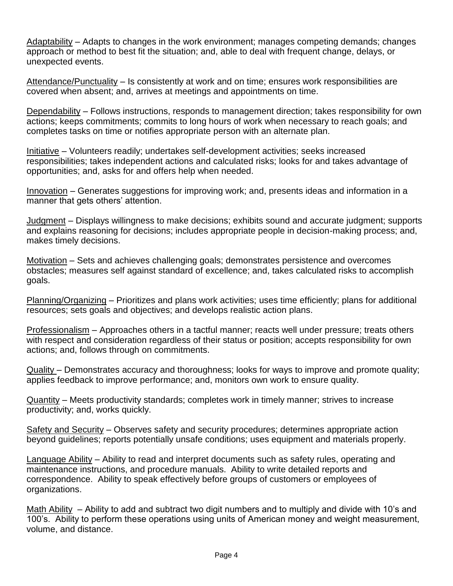Adaptability – Adapts to changes in the work environment; manages competing demands; changes approach or method to best fit the situation; and, able to deal with frequent change, delays, or unexpected events.

Attendance/Punctuality – Is consistently at work and on time; ensures work responsibilities are covered when absent; and, arrives at meetings and appointments on time.

Dependability – Follows instructions, responds to management direction; takes responsibility for own actions; keeps commitments; commits to long hours of work when necessary to reach goals; and completes tasks on time or notifies appropriate person with an alternate plan.

Initiative – Volunteers readily; undertakes self-development activities; seeks increased responsibilities; takes independent actions and calculated risks; looks for and takes advantage of opportunities; and, asks for and offers help when needed.

Innovation – Generates suggestions for improving work; and, presents ideas and information in a manner that gets others' attention.

Judgment – Displays willingness to make decisions; exhibits sound and accurate judgment; supports and explains reasoning for decisions; includes appropriate people in decision-making process; and, makes timely decisions.

Motivation – Sets and achieves challenging goals; demonstrates persistence and overcomes obstacles; measures self against standard of excellence; and, takes calculated risks to accomplish goals.

Planning/Organizing – Prioritizes and plans work activities; uses time efficiently; plans for additional resources; sets goals and objectives; and develops realistic action plans.

Professionalism – Approaches others in a tactful manner; reacts well under pressure; treats others with respect and consideration regardless of their status or position; accepts responsibility for own actions; and, follows through on commitments.

Quality – Demonstrates accuracy and thoroughness; looks for ways to improve and promote quality; applies feedback to improve performance; and, monitors own work to ensure quality.

Quantity – Meets productivity standards; completes work in timely manner; strives to increase productivity; and, works quickly.

Safety and Security – Observes safety and security procedures; determines appropriate action beyond guidelines; reports potentially unsafe conditions; uses equipment and materials properly.

Language Ability – Ability to read and interpret documents such as safety rules, operating and maintenance instructions, and procedure manuals. Ability to write detailed reports and correspondence. Ability to speak effectively before groups of customers or employees of organizations.

Math Ability – Ability to add and subtract two digit numbers and to multiply and divide with 10's and 100's. Ability to perform these operations using units of American money and weight measurement, volume, and distance.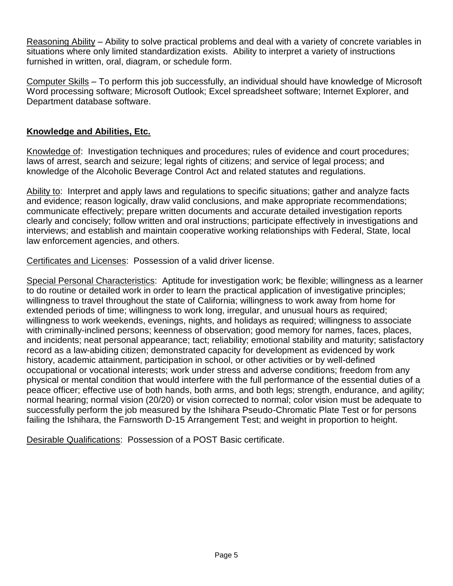Reasoning Ability – Ability to solve practical problems and deal with a variety of concrete variables in situations where only limited standardization exists. Ability to interpret a variety of instructions furnished in written, oral, diagram, or schedule form.

Computer Skills – To perform this job successfully, an individual should have knowledge of Microsoft Word processing software; Microsoft Outlook; Excel spreadsheet software; Internet Explorer, and Department database software.

## **Knowledge and Abilities, Etc.**

Knowledge of: Investigation techniques and procedures; rules of evidence and court procedures; laws of arrest, search and seizure; legal rights of citizens; and service of legal process; and knowledge of the Alcoholic Beverage Control Act and related statutes and regulations.

Ability to: Interpret and apply laws and regulations to specific situations; gather and analyze facts and evidence; reason logically, draw valid conclusions, and make appropriate recommendations; communicate effectively; prepare written documents and accurate detailed investigation reports clearly and concisely; follow written and oral instructions; participate effectively in investigations and interviews; and establish and maintain cooperative working relationships with Federal, State, local law enforcement agencies, and others.

Certificates and Licenses: Possession of a valid driver license.

Special Personal Characteristics: Aptitude for investigation work; be flexible; willingness as a learner to do routine or detailed work in order to learn the practical application of investigative principles; willingness to travel throughout the state of California; willingness to work away from home for extended periods of time; willingness to work long, irregular, and unusual hours as required; willingness to work weekends, evenings, nights, and holidays as required; willingness to associate with criminally-inclined persons; keenness of observation; good memory for names, faces, places, and incidents; neat personal appearance; tact; reliability; emotional stability and maturity; satisfactory record as a law-abiding citizen; demonstrated capacity for development as evidenced by work history, academic attainment, participation in school, or other activities or by well-defined occupational or vocational interests; work under stress and adverse conditions; freedom from any physical or mental condition that would interfere with the full performance of the essential duties of a peace officer; effective use of both hands, both arms, and both legs; strength, endurance, and agility; normal hearing; normal vision (20/20) or vision corrected to normal; color vision must be adequate to successfully perform the job measured by the Ishihara Pseudo-Chromatic Plate Test or for persons failing the Ishihara, the Farnsworth D-15 Arrangement Test; and weight in proportion to height.

Desirable Qualifications: Possession of a POST Basic certificate.